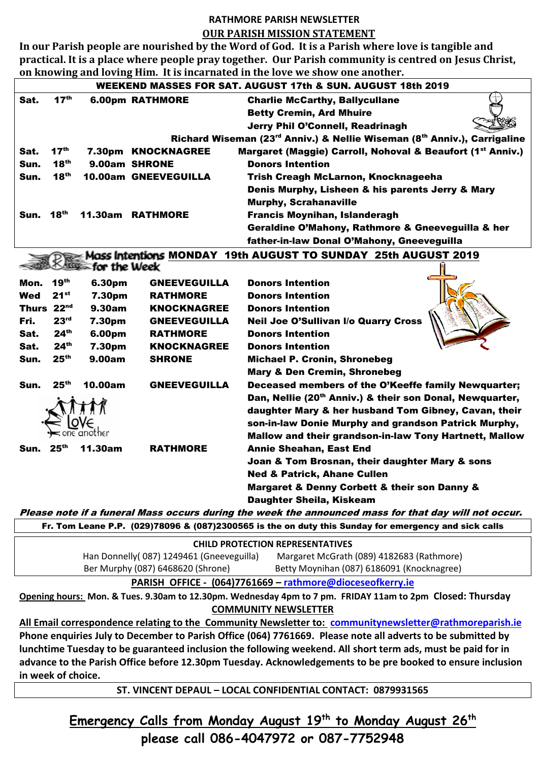## **RATHMORE PARISH NEWSLETTER OUR PARISH MISSION STATEMENT**

**In our Parish people are nourished by the Word of God. It is a Parish where love is tangible and practical. It is a place where people pray together. Our Parish community is centred on Jesus Christ, on knowing and loving Him. It is incarnated in the love we show one another.**

| WEEKEND MASSES FOR SAT. AUGUST 17th & SUN. AUGUST 18th 2019                                         |                  |              |                             |                                                                          |  |  |
|-----------------------------------------------------------------------------------------------------|------------------|--------------|-----------------------------|--------------------------------------------------------------------------|--|--|
| Sat.                                                                                                | 17 <sup>th</sup> |              | <b>6.00pm RATHMORE</b>      | <b>Charlie McCarthy, Ballycullane</b>                                    |  |  |
|                                                                                                     |                  |              |                             | <b>Betty Cremin, Ard Mhuire</b>                                          |  |  |
|                                                                                                     |                  |              |                             | Jerry Phil O'Connell, Readrinagh                                         |  |  |
|                                                                                                     |                  |              |                             | Richard Wiseman (23rd Anniv.) & Nellie Wiseman (8th Anniv.), Carrigaline |  |  |
| Sat.                                                                                                | 17 <sup>th</sup> |              | 7.30pm KNOCKNAGREE          | Margaret (Maggie) Carroll, Nohoval & Beaufort (1 <sup>st</sup> Anniv.)   |  |  |
| Sun.                                                                                                | 18 <sup>th</sup> |              | 9.00am SHRONE               | <b>Donors Intention</b>                                                  |  |  |
| Sun.                                                                                                | 18 <sup>th</sup> |              | <b>10.00am GNEEVEGUILLA</b> | Trish Creagh McLarnon, Knocknageeha                                      |  |  |
|                                                                                                     |                  |              |                             | Denis Murphy, Lisheen & his parents Jerry & Mary                         |  |  |
|                                                                                                     |                  |              |                             | <b>Murphy, Scrahanaville</b>                                             |  |  |
| Sun.                                                                                                | 18 <sup>th</sup> |              | 11.30am RATHMORE            | Francis Moynihan, Islanderagh                                            |  |  |
|                                                                                                     |                  |              |                             | Geraldine O'Mahony, Rathmore & Gneeveguilla & her                        |  |  |
|                                                                                                     |                  |              |                             | father-in-law Donal O'Mahony, Gneeveguilla                               |  |  |
| Mass Intentions MONDAY 19th AUGUST TO SUNDAY 25th AUGUST 2019                                       |                  |              |                             |                                                                          |  |  |
|                                                                                                     |                  | for the Week |                             |                                                                          |  |  |
| Mon.                                                                                                | 19 <sup>th</sup> | 6.30pm       | <b>GNEEVEGUILLA</b>         | <b>Donors Intention</b>                                                  |  |  |
| Wed                                                                                                 | $21^{st}$        | 7.30pm       | <b>RATHMORE</b>             | <b>Donors Intention</b>                                                  |  |  |
| Thurs 22 <sup>nd</sup>                                                                              |                  | 9.30am       | <b>KNOCKNAGREE</b>          | <b>Donors Intention</b>                                                  |  |  |
| Fri.                                                                                                | 23 <sup>rd</sup> | 7.30pm       | <b>GNEEVEGUILLA</b>         | <b>Neil Joe O'Sullivan I/o Quarry Cross</b>                              |  |  |
| Sat.                                                                                                | 24 <sup>th</sup> | 6.00pm       | <b>RATHMORE</b>             | <b>Donors Intention</b>                                                  |  |  |
| Sat.                                                                                                | 24 <sup>th</sup> | 7.30pm       | <b>KNOCKNAGREE</b>          | <b>Donors Intention</b>                                                  |  |  |
| Sun.                                                                                                | 25 <sup>th</sup> | 9.00am       | <b>SHRONE</b>               | <b>Michael P. Cronin, Shronebeg</b>                                      |  |  |
|                                                                                                     |                  |              |                             | <b>Mary &amp; Den Cremin, Shronebeg</b>                                  |  |  |
| Sun.                                                                                                | 25 <sup>th</sup> | 10.00am      | <b>GNEEVEGUILLA</b>         | Deceased members of the O'Keeffe family Newquarter;                      |  |  |
|                                                                                                     |                  |              |                             | Dan, Nellie (20 <sup>th</sup> Anniv.) & their son Donal, Newquarter,     |  |  |
|                                                                                                     |                  |              |                             | daughter Mary & her husband Tom Gibney, Cavan, their                     |  |  |
|                                                                                                     |                  |              |                             | son-in-law Donie Murphy and grandson Patrick Murphy,                     |  |  |
|                                                                                                     |                  | another      |                             | Mallow and their grandson-in-law Tony Hartnett, Mallow                   |  |  |
| Sun.                                                                                                | 25 <sup>th</sup> | 11.30am      | <b>RATHMORE</b>             | <b>Annie Sheahan, East End</b>                                           |  |  |
|                                                                                                     |                  |              |                             | Joan & Tom Brosnan, their daughter Mary & sons                           |  |  |
|                                                                                                     |                  |              |                             | <b>Ned &amp; Patrick, Ahane Cullen</b>                                   |  |  |
|                                                                                                     |                  |              |                             | Margaret & Denny Corbett & their son Danny &                             |  |  |
|                                                                                                     |                  |              |                             | Daughter Sheila, Kiskeam                                                 |  |  |
| Diogra nata if a funaral Macc agaure during the weak the announced macc for that day will not equiv |                  |              |                             |                                                                          |  |  |

the announced ma Fr. Tom Leane P.P. (029)78096 & (087)2300565 is the on duty this Sunday for emergency and sick calls

| <b>CHILD PROTECTION REPRESENTATIVES</b>                                                                   |                                            |  |  |  |  |
|-----------------------------------------------------------------------------------------------------------|--------------------------------------------|--|--|--|--|
| Han Donnelly (087) 1249461 (Gneeveguilla)                                                                 | Margaret McGrath (089) 4182683 (Rathmore)  |  |  |  |  |
| Ber Murphy (087) 6468620 (Shrone)                                                                         | Betty Moynihan (087) 6186091 (Knocknagree) |  |  |  |  |
| PARISH OFFICE - (064)7761669 - rathmore@dioceseofkerry.ie                                                 |                                            |  |  |  |  |
| Opening hours: Mon. & Tues. 9.30am to 12.30pm. Wednesday 4pm to 7 pm. FRIDAY 11am to 2pm Closed: Thursday |                                            |  |  |  |  |
| <b>COMMUNITY NEWSLETTER</b>                                                                               |                                            |  |  |  |  |

**All Email correspondence relating to the Community Newsletter to: [communitynewsletter@rathmoreparish.ie](mailto:communitynewsletter@rathmoreparish.ie) Phone enquiries July to December to Parish Office (064) 7761669. Please note all adverts to be submitted by lunchtime Tuesday to be guaranteed inclusion the following weekend. All short term ads, must be paid for in advance to the Parish Office before 12.30pm Tuesday. Acknowledgements to be pre booked to ensure inclusion in week of choice.**

**ST. VINCENT DEPAUL – LOCAL CONFIDENTIAL CONTACT: 0879931565**

**Emergency Calls from Monday August 19th to Monday August 26th please call 086-4047972 or 087-7752948**